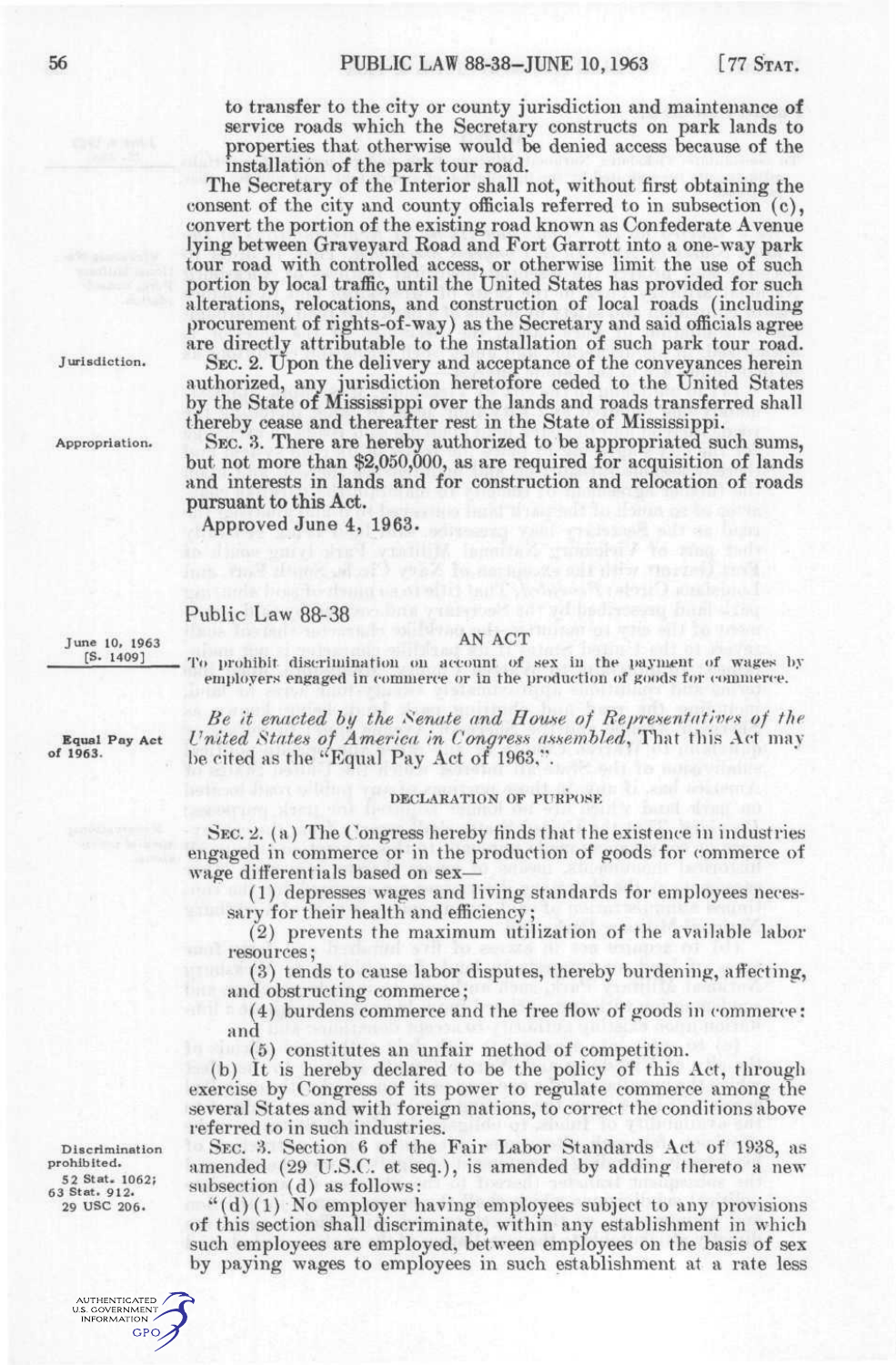to transfer to the city or county jurisdiction and maintenance of service roads which the Secretary constructs on park lands to properties that otherwise would be denied access because of the installation of the park tour road.

The Secretary of the Interior shall not, without first obtaining the consent of the city and county officials referred to in subsection (c), convert the portion of the existing road known as Confederate Avenue lying between Graveyard Road and Fort Garrott into a one-way park tour road with controlled access, or otherwise limit the use of such portion by local traffic, until the United States has provided for such alterations, relocations, and construction of local roads (including procurement of rights-of-way) as the Secretary and said officials agree are directly attributable to the installation of such park tour road.

SEC. 2. Upon the delivery and acceptance of the conveyances herein authorized, any jurisdiction heretofore ceded to the United States by the State of Mississippi over the lands and roads transferred shall thereby cease and thereafter rest in the State of Mississippi.

SEC. 8. There are hereby authorized to be appropriated such sums, but not more than \$2,050,000, as are required for acquisition of lands and interests in lands and for construction and relocation of roads pursuant to this Act.

Approved June 4, 1963.

## Public Law 88-38

June 10, 1963 [S. 1409]

Jurisdiction.

Appropriation.

To prohibit discrimination on account of sex in the payment of wages by employers engaged in commerce or in the production of goods for commerce.

*Be it enacted by the Seruite and [Hou.se o](http://Hou.se)f Repre-sentatives of the*  Equal Pay Act *United States of America in Congress assembled*, That this Act may be cited as the "Equal Pay Act of 1963,".

## DECLARATION OF PURPOSE

SEC. 2. (a) The Congress hereby finds that the existence in industries engaged in commerce or in the production of goods for commerce of wage differentials based on sex-

(1) depresses wages and living standards for employees necessary for their health and efficiency;

(2) prevents the maximum utilization of the available labor resources;

(3) tends to cause labor disputes, thereby burdening, affecting, and obstructing commerce;

(4) burdens commerce and the free flow of goods in commerce: and

(5) constitutes an unfair method of competition.

(b) It is hereby declared to be the policy of this Act, through exercise by Congress of its power to regulate commerce among the several States and with foreign nations, to correct the conditions above referred to in such industries.

SEC. 3. Section 6 of the Fair Labor Standards Act of 1938, as amended (29 U.S.C. et seq.), is amended by adding thereto a new subsection (d) as follows:

 $*(d)(1)$  No employer having employees subject to any provisions of this section shall discriminate, within any establishment in which such employees are employed, between employees on the basis of sex by paying wages to employees in such establishment at a rate less

Discrimination prohibited. 5 2 Stat. 1062; 63 Stat. 912. 29 USC 206.

AN ACT

of 1963.